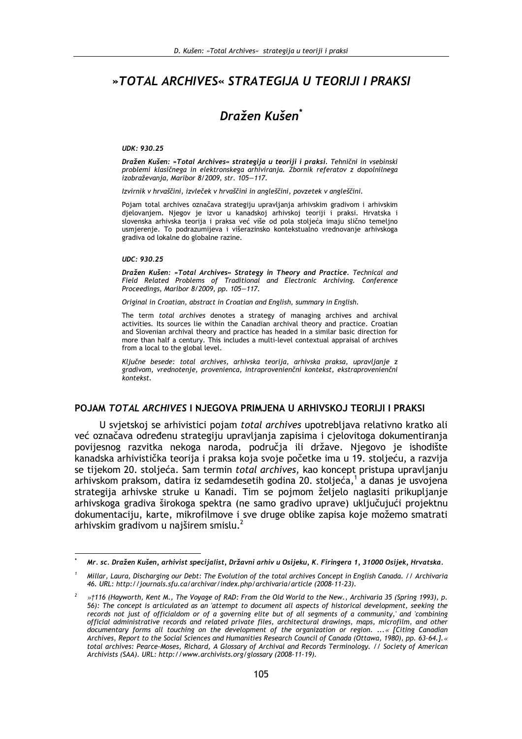# »TOTAL ARCHIVES« STRATEGIJA U TEORIJI I PRAKSI

# Dražen Kušen<sup>\*</sup>

#### UDK: 930.25

Dražen Kušen: »Total Archives« strategija u teoriji i praksi. Tehnični in vsebinski problemi klasičnega in elektronskega arhiviranja. Zbornik referatov z dopolnilnega izobraževanja, Maribor 8/2009, str. 105-117.

Izvirnik v hrvaščini, izvleček v hrvaščini in angleščini, povzetek v angleščini.

Pojam total archives označava strategiju upravljanja arhivskim gradivom i arhivskim djelovanjem. Njegov je izvor u kanadskoj arhivskoj teoriji i praksi. Hrvatska i slovenska arhivska teorija i praksa već više od pola stoljeća imaju slično temeljno usmierenie. To podrazumijeva i višerazinsko kontekstualno vrednovanie arhivskoga gradiva od lokalne do globalne razine.

#### UDC: 930.25

Dražen Kušen: »Total Archives« Strategy in Theory and Practice. Technical and Field Related Problems of Traditional and Electronic Archiving. Conference Proceedings, Maribor 8/2009, pp. 105-117.

Original in Croatian, abstract in Croatian and English, summary in English.

The term total archives denotes a strategy of managing archives and archival activities. Its sources lie within the Canadian archival theory and practice. Croatian and Slovenian archival theory and practice has headed in a similar basic direction for more than half a century. This includes a multi-level contextual appraisal of archives from a local to the global level.

Kliučne besede: total archives, arhivska teorija, arhivska praksa, upravljanje z gradivom, vrednotenje, provenienca, intraprovenienčni kontekst, ekstraprovenienčni kontekst

### POJAM TOTAL ARCHIVES I NJEGOVA PRIMJENA U ARHIVSKOJ TEORIJI I PRAKSI

U svjetskoj se arhivistici pojam *total archives* upotrebljava relativno kratko ali već označava određenu strategiju upravljanja zapisima i cjelovitoga dokumentiranja povijesnog razvitka nekoga naroda, područja ili države. Njegovo je ishodište kanadska arhivistička teorija i praksa koja svoje početke ima u 19. stoljeću, a razvija se tijekom 20. stoljeća. Sam termin total archives, kao koncept pristupa upravljanju arhivskom praksom, datira iz sedamdesetih godina 20. stoljeća,<sup>1</sup> a danas je usvojena strategija arhivske struke u Kanadi. Tim se pojmom željelo naglasiti prikupljanje arhivskoga gradiva širokoga spektra (ne samo gradivo uprave) uključujući projektnu dokumentaciju, karte, mikrofilmove i sve druge oblike zapisa koje možemo smatrati arhivskim gradivom u najširem smislu.<sup>2</sup>

Mr. sc. Dražen Kušen, arhivist specijalist, Državni arhiv u Osijeku, K. Firingera 1, 31000 Osijek, Hrvatska.

Millar, Laura, Discharging our Debt: The Evolution of the total archives Concept in English Canada. // Archivaria 46. URL: http://journals.sfu.ca/archivar/index.php/archivaria/article (2008-11-23).

Ƞ116 (Hayworth, Kent M., The Voyage of RAD: From the Old World to the New., Archivaria 35 (Spring 1993), p. 56): The concept is articulated as an attempt to document all aspects of historical development, seeking the records not just of officialdom or of a governing elite but of all segments of a community,' and 'combining official administrative records and related private files, architectural drawings, maps, microfilm, and other documentary forms all touching on the development of the organization or region. ...« [Citing Canadian Archives, Report to the Social Sciences and Humanities Research Council of Canada (Ottawa, 1980), pp. 63-64.].« total archives: Pearce-Moses, Richard, A Glossary of Archival and Records Terminology. // Society of American Archivists (SAA). URL: http://www.archivists.org/glossary (2008-11-19).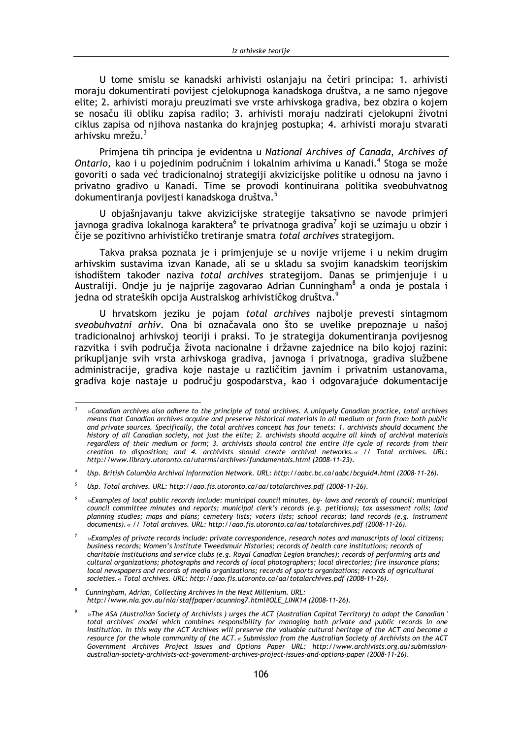U tome smislu se kanadski arhivisti oslanjaju na četiri principa: 1. arhivisti moraju dokumentirati povijest cjelokupnoga kanadskoga društva, a ne samo njegove elite: 2. arhivisti moraju preuzimati sve vrste arhivskoga gradiva, bez obzira o kojem se nosaču ili obliku zapisa radilo; 3. arhivisti moraju nadzirati cjelokupni životni ciklus zapisa od njihova nastanka do krajnjeg postupka; 4. arhivisti moraju stvarati arhivsku mrežu.<sup>3</sup>

Primjena tih principa je evidentna u National Archives of Canada, Archives of Ontario, kao i u pojedinim područnim i lokalnim arhivima u Kanadi.<sup>4</sup> Stoga se može govoriti o sada već tradicionalnoj strategiji akvizicijske politike u odnosu na javno i privatno gradivo u Kanadi. Time se provodi kontinuirana politika sveobuhvatnog dokumentiranja povijesti kanadskoga društva.<sup>5</sup>

U objašnjavanju takve akvizicijske strategije taksativno se navode primjeri javnoga gradiva lokalnoga karaktera<sup>6</sup> te privatnoga gradiva<sup>7</sup> koji se uzimaju u obzir i čije se pozitivno arhivističko tretiranje smatra total archives strategijom.

Takva praksa poznata je i primjenjuje se u novije vrijeme i u nekim drugim arhivskim sustavima izvan Kanade, ali se u skladu sa svojim kanadskim teorijskim ishodištem također naziva total archives strategijom. Danas se primjenjuje i u Australiji. Ondje ju je najprije zagovarao Adrian Cunningham<sup>8</sup> a onda je postala i jedna od strateških opcija Australskog arhivističkog društva.<sup>9</sup>

U hrvatskom jeziku je pojam total archives najbolje prevesti sintagmom sveobuhvatni arhiv. Ona bi označavala ono što se uvelike prepoznaje u našoj tradicionalnoj arhivskoj teoriji i praksi. To je strategija dokumentiranja povijesnog razvitka i svih područja života nacionalne i državne zajednice na bilo kojoj razini: prikupljanje svih vrsta arhivskoga gradiva, javnoga i privatnoga, gradiva službene administracije, gradiva koje nastaje u različitim javnim i privatnim ustanovama, gradiva koje nastaje u području gospodarstva, kao i odgovarajuće dokumentacije

<sup>»</sup>Canadian archives also adhere to the principle of total archives. A uniquely Canadian practice, total archives means that Canadian archives acquire and preserve historical materials in all medium or form from both public and private sources. Specifically, the total archives concept has four tenets: 1. archivists should document the history of all Canadian society, not just the elite; 2. archivists should acquire all kinds of archival materials regardless of their medium or form; 3. archivists should control the entire life cycle of records from their<br>creation to disposition; and 4. archivists should create archival networks.« // Total archives. URL: http://www.library.utoronto.ca/utarms/archives/fundamentals.html (2008-11-23).

Usp. British Columbia Archival Information Network. URL: http://aabc.bc.ca/aabc/bcguid4.html (2008-11-26).

 $\overline{5}$ Usp. Total archives. URL: http://ago.fis.utoronto.ca/ag/totalarchives.pdf (2008-11-26).

<sup>»</sup>Examples of local public records include: municipal council minutes, by-laws and records of council; municipal council committee minutes and reports; municipal clerk's records (e.g. petitions); tax assessment rolls; land planning studies; maps and plans; cemetery lists; voters lists; school records; land records (e.g. instrument documents). « // Total archives. URL: http://aao.fis.utoronto.ca/aa/totalarchives.pdf (2008-11-26).

<sup>»</sup>Examples of private records include: private correspondence, research notes and manuscripts of local citizens; business records; Women's Institute Tweedsmuir Histories; records of health care institutions; records of charitable institutions and service clubs (e.g. Royal Canadian Legion branches); records of performing arts and cultural organizations; photographs and records of local photographers; local directories; fire insurance plans; local newspapers and records of media organizations; records of sports organizations; records of agricultural societies. « Total archives. URL: http://aao.fis.utoronto.ca/aa/totalarchives.pdf (2008-11-26).

Cunningham, Adrian, Collecting Archives in the Next Millenium. URL: http://www.nla.gov.au/nla/staffpaper/acunning7.html#OLE\_LINK14 (2008-11-26).

<sup>»</sup>The ASA (Australian Society of Archivists) urges the ACT (Australian Capital Territory) to adopt the Canadian' total archives' model which combines responsibility for managing both private and public records in one institution. In this way the ACT Archives will preserve the valuable cultural heritage of the ACT and become a resource for the whole community of the ACT.« Submission from the Australian Society of Archivists on the ACT Government Archives Project Issues and Options Paper URL: http://www.archivists.org.au/submissionaustralian-society-archivists-act-government-archives-project-issues-and-options-paper (2008-11-26).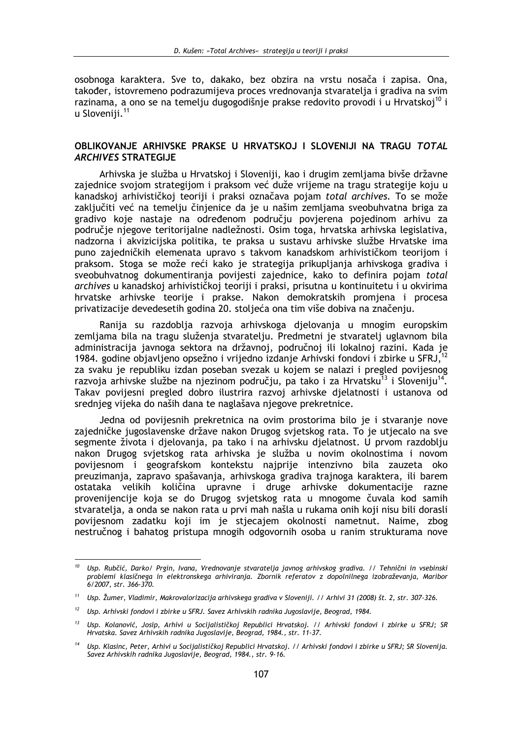osobnoga karaktera. Sve to, dakako, bez obzira na vrstu nosača i zapisa. Ona, također, istovremeno podrazumijeva proces vrednovanja stvaratelja i gradiva na svim razinama, a ono se na temeliu dugogodišnie prakse redovito provodi i u Hrvatskoj<sup>10</sup> i u Sloveniii.<sup>11</sup>

## OBLIKOVANJE ARHIVSKE PRAKSE U HRVATSKOJ I SLOVENIJI NA TRAGU TOTAL **ARCHIVES STRATEGIJE**

Arhivska je služba u Hrvatskoj i Sloveniji, kao i drugim zemljama bivše državne zajednice svojom strategijom i praksom već duže vrijeme na tragu strategije koju u kanadskoj arhivističkoj teoriji i praksi označava pojam total archives. To se može zaključiti već na temelju činjenice da je u našim zemljama sveobuhvatna briga za gradivo koje nastaje na određenom području povjerena pojedinom arhivu za područje njegove teritorijalne nadležnosti. Osim toga, hrvatska arhivska legislativa, nadzorna i akvizicijska politika, te praksa u sustavu arhivske službe Hrvatske ima puno zajedničkih elemenata upravo s takvom kanadskom arhivističkom teorijom i praksom. Stoga se može reći kako je strategija prikupljanja arhivskoga gradiva i sveobuhvatnog dokumentiranja povijesti zajednice, kako to definira pojam total archives u kanadskoj arhivističkoj teoriji i praksi, prisutna u kontinuitetu i u okvirima hrvatske arhivske teorije i prakse. Nakon demokratskih promjena i procesa privatizacije devedesetih godina 20. stoljeća ona tim više dobiva na značenju.

Ranija su razdoblja razvoja arhivskoga djelovanja u mnogim europskim zemljama bila na tragu služenja stvaratelju. Predmetni je stvaratelj uglavnom bila administracija javnoga sektora na državnoj, područnoj ili lokalnoj razini. Kada je 1984. godine objavljeno opsežno i vrijedno izdanje Arhivski fondovi i zbirke u SFRJ,<sup>12</sup> za svaku je republiku izdan poseban svezak u kojem se nalazi i pregled povijesnog razvoja arhivske službe na niezinom područiu, pa tako i za Hrvatsku<sup>13</sup> i Sloveniju<sup>14</sup>. Takay povijesni pregled dobro ilustrira razvoj arhivske dielatnosti i ustanova od srednieg vijeka do naših dana te naglašava njegove prekretnice.

Jedna od povijesnih prekretnica na ovim prostorima bilo je i stvaranje nove zajedničke jugoslavenske države nakon Drugog svjetskog rata. To je utjecalo na sve segmente života i djelovanja, pa tako i na arhivsku djelatnost. U prvom razdoblju nakon Drugog svjetskog rata arhivska je služba u novim okolnostima i novom povijesnom i geografskom kontekstu najprije intenzivno bila zauzeta oko preuzimanja, zapravo spašavanja, arhivskoga gradiva trajnoga karaktera, ili barem ostataka velikih količina upravne i druge arhivske dokumentacije razne provenijencije koja se do Drugog svjetskog rata u mnogome čuvala kod samih stvaratelja, a onda se nakon rata u prvi mah našla u rukama onih koji nisu bili dorasli povijesnom zadatku koji im je stjecajem okolnosti nametnut. Naime, zbog nestručnog i bahatog pristupa mnogih odgovornih osoba u ranim strukturama nove

<sup>&</sup>lt;sup>10</sup> Usp. Rubčić, Darko/ Prgin, Ivana, Vrednovanje stvaratelja javnog arhivskog gradiva. // Tehnični in vsebinski problemi klasičnega in elektronskega arhiviranja. Zbornik referatov z dopolnilnega izobraževanja, Maribor 6/2007, str. 366-370.

<sup>&</sup>lt;sup>11</sup> Usp. Žumer, Vladimir, Makrovalorizacija arhivskega gradiva v Sloveniji. // Arhivi 31 (2008) št. 2, str. 307-326.

<sup>&</sup>lt;sup>12</sup> Usp. Arhivski fondovi i zbirke u SFRJ. Savez Arhivskih radnika Jugoslavije, Beograd, 1984.

<sup>&</sup>lt;sup>13</sup> Usp. Kolanović, Josip, Arhivi u Socijalističkoj Republici Hrvatskoj. // Arhivski fondovi i zbirke u SFRJ; SR Hrvatska. Savez Arhivskih radnika Jugoslavije, Beograd, 1984., str. 11-37.

<sup>&</sup>lt;sup>14</sup> Usp. Klasinc, Peter, Arhivi u Socijalističkoj Republici Hrvatskoj. // Arhivski fondovi i zbirke u SFRJ; SR Slovenija. Savez Arhivskih radnika Jugoslavije, Beograd, 1984., str. 9-16.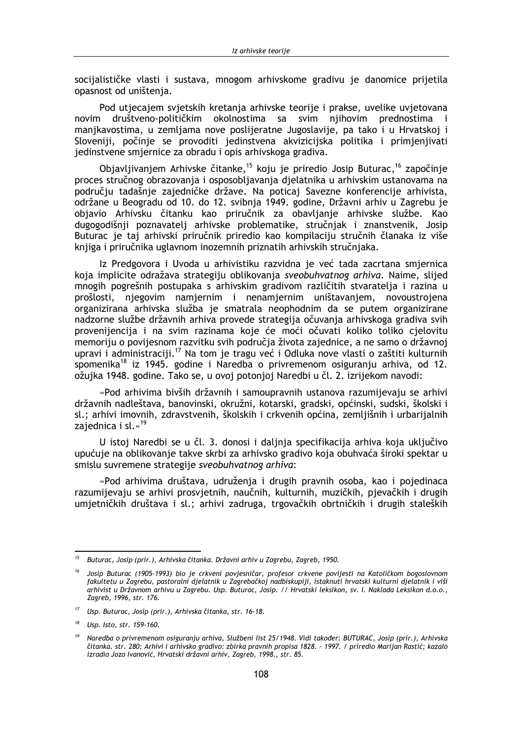socijalističke vlasti i sustava, mnogom arhivskome gradivu je danomice prijetila opasnost od uništenja.

Pod utjecajem svjetskih kretanja arhivske teorije i prakse, uvelike uvjetovana novim društveno-političkim okolnostima sa svim njihovim prednostima i manjkavostima, u zemljama nove poslijeratne Jugoslavije, pa tako i u Hrvatskoj i Sloveniji, počinje se provoditi jedinstvena akvizicijska politika i primjenjivati jedinstvene smjernice za obradu i opis arhivskoga gradiva.

Objavljivanjem Arhivske čitanke,<sup>15</sup> koju je priredio Josip Buturac,<sup>16</sup> započinje proces stručnog obrazovanja i osposobljavanja djelatnika u arhivskim ustanovama na području tadašnje zajedničke države. Na poticaj Savezne konferencije arhivista, održane u Beogradu od 10. do 12. svibnja 1949. godine, Državni arhiv u Zagrebu je objavio Arhivsku čitanku kao priručnik za obavljanje arhivske službe. Kao dugogodišnji poznavatelj arhivske problematike, stručnjak i znanstvenik, Josip Buturac je taj arhivski priručnik priredio kao kompilaciju stručnih članaka iz više knjiga i priručnika uglavnom inozemnih priznatih arhivskih stručnjaka.

Iz Predgovora i Uvoda u arhivistiku razvidna je već tada zacrtana smjernica koja implicite odražava strategiju oblikovanja sveobuhvatnog arhiva. Naime, slijed mnogih pogrešnih postupaka s arhivskim gradivom različitih stvaratelja i razina u prošlosti, njegovim namjernim i nenamjernim uništavanjem, novoustrojena organizirana arhivska služba je smatrala neophodnim da se putem organizirane nadzorne službe državnih arhiva provede strategija očuvanja arhivskoga gradiva svih provenijencija i na svim razinama koje će moći očuvati koliko toliko cjelovitu memoriju o povijesnom razvitku svih područja života zajednice, a ne samo o državnoj upravi i administraciji.<sup>17</sup> Na tom je tragu već i Odluka nove vlasti o zaštiti kulturnih spomenika<sup>18</sup> iz 1945. godine i Naredba o privremenom osiguranju arhiva, od 12. ožujka 1948. godine. Tako se, u ovoj potonjoj Naredbi u čl. 2. izrijekom navodi:

»Pod arhivima bivših državnih i samoupravnih ustanova razumijevaju se arhivi državnih nadleštava, banovinski, okružni, kotarski, gradski, općinski, sudski, školski i sl.; arhivi imovnih, zdravstvenih, školskih i crkvenih općina, zemljišnih i urbarijalnih zaiednica i sl.«<sup>19</sup>

U istoj Naredbi se u čl. 3. donosi i daljnja specifikacija arhiva koja uključivo upućuje na oblikovanje takve skrbi za arhivsko gradivo koja obuhvaća široki spektar u smislu suvremene strategije sveobuhvatnog arhiva:

»Pod arhivima društava, udruženja i drugih pravnih osoba, kao i pojedinaca razumijevaju se arhivi prosvjetnih, naučnih, kulturnih, muzičkih, pjevačkih i drugih umjetničkih društava i sl.; arhivi zadruga, trgovačkih obrtničkih i drugih staleških

<sup>&</sup>lt;sup>15</sup> Buturac, Josip (prir.), Arhivska čitanka. Državni arhiv u Zagrebu, Zagreb, 1950.

<sup>&</sup>lt;sup>16</sup> Josip Buturac (1905-1993) bio je crkveni povjesničar, profesor crkvene povijesti na Katoličkom bogoslovnom fakultetu u Zagrebu, pastoralni djelatnik u Zagrebačkoj nadbiskupiji, istaknuti hrvatski kulturni djelatnik i viši arhivist u Državnom arhivu u Zagrebu. Usp. Buturac, Josip. // Hrvatski leksikon, sv. I. Naklada Leksikon d.o.o Zagreb, 1996, str. 176.

 $17<sup>2</sup>$ Usp. Buturac, Josip (prir.), Arhivska čitanka, str. 16-18.

Usp. Isto, str. 159-160.

<sup>19</sup> Naredba o privremenom osiguranju arhiva, Službeni list 25/1948. Vidi također: BUTURAC, Josip (prir.), Arhivska čitanka. str. 280; Arhivi i arhivsko gradivo: zbirka pravnih propisa 1828. - 1997. / priredio Marijan Rastić; kazalo izradio Jozo Ivanović, Hrvatski državni arhiv, Zagreb, 1998., str. 85.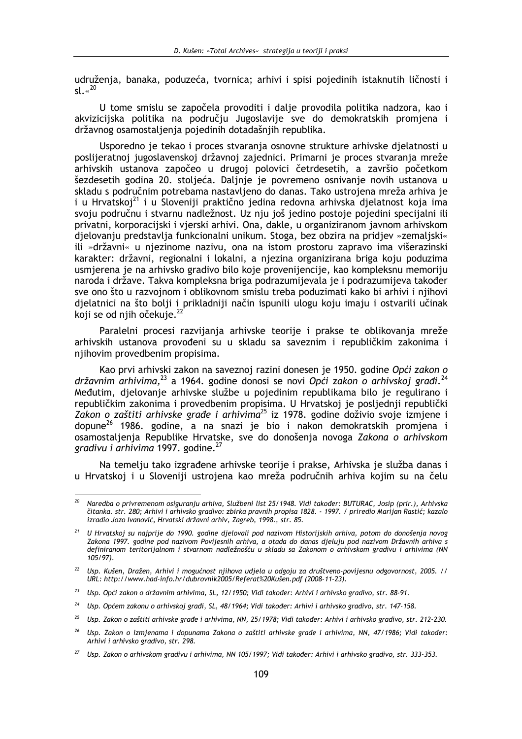udruženja, banaka, poduzeća, tvornica; arhivi i spisi pojedinih istaknutih ličnosti i  $sl.$   $\cdot$   $^{20}$ 

U tome smislu se započela provoditi i dalje provodila politika nadzora, kao i akvizicijska politika na području Jugoslavije sve do demokratskih promjena i državnog osamostaljenja pojedinih dotadašnjih republika.

Usporedno je tekao i proces stvaranja osnovne strukture arhivske djelatnosti u poslijeratnoj jugoslavenskoj državnoj zajednici. Primarni je proces stvaranja mreže arhivskih ustanova započeo u drugoj polovici četrdesetih, a završio početkom šezdesetih godina 20. stoljeća. Daljnje je povremeno osnivanje novih ustanova u skladu s područnim potrebama nastavljeno do danas. Tako ustrojena mreža arhiva je i u Hrvatskoj<sup>21</sup> i u Sloveniji praktično jedina redovna arhivska djelatnost koja ima svoju područnu i stvarnu nadležnost. Uz nju još jedino postoje pojedini specijalni ili privatni, korporacijski i vjerski arhivi. Ona, dakle, u organiziranom javnom arhivskom djelovanju predstavlja funkcionalni unikum. Stoga, bez obzira na pridjev »zemaljski« ili »državni« u njezinome nazivu, ona na istom prostoru zapravo ima višerazinski karakter: državni, regionalni i lokalni, a njezina organizirana briga koju poduzima usmjerena je na arhivsko gradivo bilo koje provenijencije, kao kompleksnu memoriju naroda i države. Takva kompleksna briga podrazumijevala je i podrazumijeva također sve ono što u razvojnom i oblikovnom smislu treba poduzimati kako bi arhivi i njihovi djelatnici na što bolji i prikladniji način ispunili ulogu koju imaju i ostvarili učinak koji se od njih očekuje.<sup>22</sup>

Paralelni procesi razvijanja arhivske teorije i prakse te oblikovanja mreže arhivskih ustanova provođeni su u skladu sa saveznim i republičkim zakonima i njihovim provedbenim propisima.

Kao prvi arhivski zakon na saveznoj razini donesen je 1950. godine Opći zakon o državnim arhivima. $^{23}$  a 1964. godine donosi se novi Opći zakon o arhivskoj građi. $^{24}$ Međutim, dielovanie arhivske službe u pojedinim republikama bilo je regulirano i republičkim zakonima i provedbenim propisima. U Hrvatskoj je posljednij republički Zakon o zaštiti arhivske građe i arhivima<sup>25</sup> iz 1978. godine doživio svoje izmjene i dopune<sup>26</sup> 1986. godine, a na snazi je bio i nakon demokratskih promiena i osamostalienia Republike Hrvatske, sve do donošenia novoga Zakona o arhivskom gradivu i arhivima 1997. godine.<sup>27</sup>

Na temelju tako izgrađene arhivske teorije i prakse, Arhivska je služba danas i u Hrvatskoj i u Sloveniji ustrojena kao mreža područnih arhiva kojim su na čelu

 $20<sup>o</sup>$ Naredba o privremenom osiguranju arhiva, Službeni list 25/1948. Vidi također: BUTURAC, Josip (prir.), Arhivska čitanka. str. 280; Arhivi i arhivsko gradivo: zbirka pravnih propisa 1828. - 1997. / priredio Marijan Rastić; kazalo izradio Jozo Ivanović, Hrvatski državni arhiv, Zagreb, 1998., str. 85.

<sup>&</sup>lt;sup>21</sup> U Hrvatskoj su najprije do 1990. godine djelovali pod nazivom Historijskih arhiva, potom do donošenja novog Zakona 1997. godine pod nazivom Povijesnih arhiva, a otada do danas djeluju pod nazivom Državnih arhiva s definiranom teritorijalnom i stvarnom nadležnošću u skladu sa Zakonom o arhivskom gradivu i arhivima (NN  $105/97$ ).

<sup>&</sup>lt;sup>22</sup> Usp. Kušen, Dražen, Arhivi i mogućnost njihova udjela u odgoju za društveno-povijesnu odgovornost, 2005. // URL: http://www.had-info.hr/dubrovnik2005/Referat%20Kušen.pdf (2008-11-23).

<sup>&</sup>lt;sup>23</sup> Usp. Opći zakon o državnim arhivima, SL, 12/1950; Vidi također: Arhivi i arhivsko gradivo, str. 88-91.

 $24$ Usp. Općem zakonu o arhivskoj građi, SL, 48/1964; Vidi također: Arhivi i arhivsko gradivo, str. 147-158.

<sup>&</sup>lt;sup>25</sup> Usp. Zakon o zaštiti arhivske građe i arhivima, NN, 25/1978; Vidi također: Arhivi i arhivsko gradivo, str. 212-230.

<sup>&</sup>lt;sup>26</sup> Usp. Zakon o izmjenama i dopunama Zakona o zaštiti arhivske građe i arhivima, NN, 47/1986; Vidi također: Arhivi i arhivsko gradivo, str. 298.

<sup>&</sup>lt;sup>27</sup> Usp. Zakon o arhivskom gradivu i arhivima, NN 105/1997; Vidi također: Arhivi i arhivsko gradivo, str. 333-353.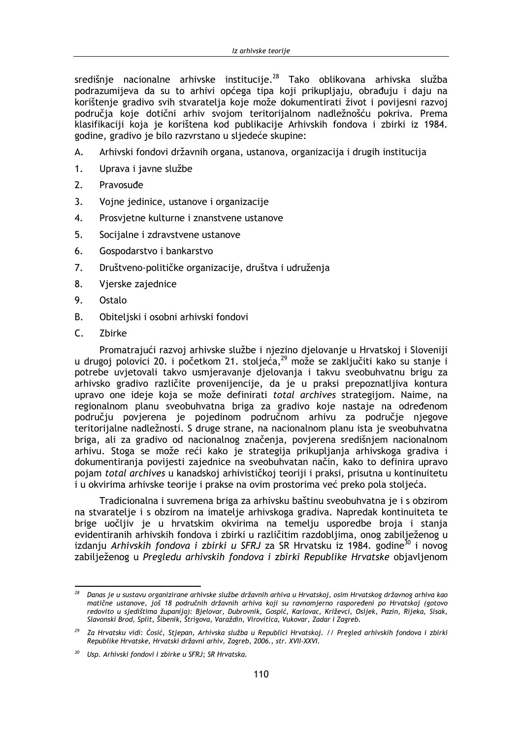središnje nacionalne arhivske institucije.<sup>28</sup> Tako oblikovana arhivska služba podrazumijeva da su to arhivi općega tipa koji prikupljaju, obrađuju i daju na korištenie gradivo svih stvaratelia koje može dokumentirati život i povijesni razvoj područia koje dotični arhiv svojom teritorijalnom nadležnošću pokriva. Prema klasifikaciji koja je korištena kod publikacije Arhivskih fondova i zbirki iz 1984. godine, gradivo je bilo razvrstano u sljedeće skupine:

- A. Arhivski fondovi državnih organa, ustanova, organizacija i drugih institucija
- 1. Uprava i javne službe
- $2.$ Pravosuđe
- $3.$ Vojne jedinice, ustanove i organizacije
- 4. Prosvjetne kulturne i znanstvene ustanove
- 5. Socijalne i zdravstvene ustanove
- 6. Gospodarstvo i bankarstvo
- $7.$ Društveno-političke organizacije, društva i udruženja
- 8. Vjerske zajednice
- 9. Ostalo
- **B.** Obiteljski i osobni arhivski fondovi
- $\mathsf{C}$ . Zbirke

Promatrajući razvoj arhivske službe i njezino djelovanje u Hrvatskoj i Sloveniji u drugoj polovici 20. i početkom 21. stoljeća,<sup>29</sup> može se zaključiti kako su stanje i potrebe uvjetovali takvo usmjeravanje djelovanja i takvu sveobuhvatnu brigu za arhivsko gradivo različite provenijencije, da je u praksi prepoznatljiva kontura upravo one ideje koja se može definirati total archives strategijom. Naime, na regionalnom planu sveobuhvatna briga za gradivo koje nastaje na određenom području povjerena je pojedinom područnom arhivu za područje njegove teritorijalne nadležnosti. S druge strane, na nacionalnom planu ista je sveobuhvatna briga, ali za gradivo od nacionalnog značenja, povjerena središnjem nacionalnom arhivu. Stoga se može reći kako je strategija prikupljanja arhivskoga gradiva i dokumentirania povijesti zajednice na sveobuhvatan način, kako to definira upravo pojam total archives u kanadskoj arhivističkoj teoriji i praksi, prisutna u kontinuitetu i u okvirima arhivske teorije i prakse na ovim prostorima već preko pola stoljeća.

Tradicionalna i suvremena briga za arhivsku baštinu sveobuhvatna je i s obzirom na stvaratelje i s obzirom na imatelje arhivskoga gradiva. Napredak kontinuiteta te brige uočljiv je u hrvatskim okvirima na temelju usporedbe broja i stanja evidentiranih arhivskih fondova i zbirki u različitim razdobljima, onog zabilježenog u izdanju Arhivskih fondova i zbirki u SFRJ za SR Hrvatsku iz 1984. godine<sup>30</sup> i novog zabilježenog u Pregledu arhivskih fondova i zbirki Republike Hrvatske objavljenom

 $28$ Danas je u sustavu organizirane arhivske službe državnih arhiva u Hrvatskoj, osim Hrvatskog državnog arhiva kao matične ustanove, još 18 područnih državnih arhiva koji su ravnomjerno raspoređeni po Hrvatskoj (gotovo radiche astaliove, jes to poarachim arzavnih armya koji sa ravnomjerilo raspoređem po mvaskoj (zotove<br>redovito u sjedištima županija): Bjelovar, Dubrovnik, Gospić, Karlovac, Križevci, Osijek, Pazin, Rijeka, Sisak,<br>Slavonsk

<sup>29</sup> Za Hrvatsku vidi: Ćosić, Stjepan, Arhivska služba u Republici Hrvatskoj. // Pregled arhivskih fondova i zbirki Republike Hrvatske, Hrvatski državni arhiv, Zagreb, 2006., str. XVII-XXVI.

<sup>&</sup>lt;sup>30</sup> Usp. Arhivski fondovi i zbirke u SFRJ; SR Hrvatska.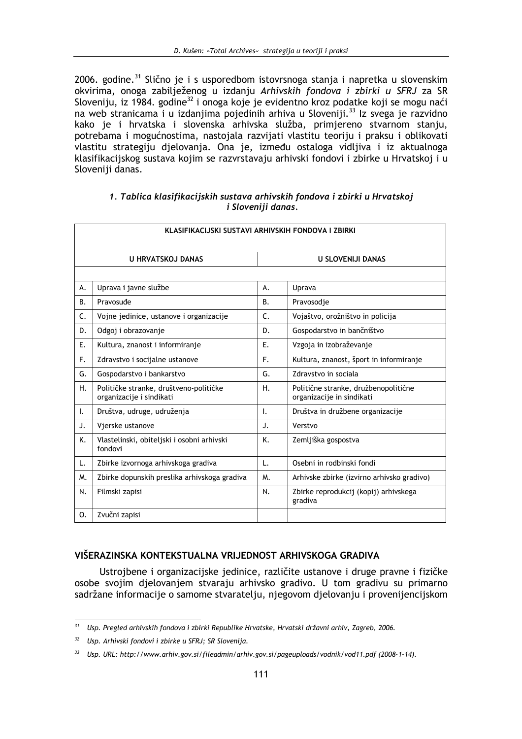2006. godine.<sup>31</sup> Slično je i s usporedbom istovrsnoga stanja i napretka u slovenskim okvirima, onoga zabilježenog u izdanju Arhivskih fondova i zbirki u SFRJ za SR Sloveniju, iz 1984. godine<sup>32</sup> i onoga koje je evidentno kroz podatke koji se mogu naći na web stranicama i u izdanjima pojedinih arhiva u Sloveniji.<sup>33</sup> Iz svega je razvidno kako je i hrvatska i slovenska arhivska služba, primjereno stvarnom stanju, potrebama i mogućnostima, nastojala razvijati vlastitu teoriju i praksu i oblikovati vlastitu strategiju djelovanja. Ona je, između ostaloga vidljiva i iz aktualnoga klasifikacijskog sustava kojim se razvrstavaju arhivski fondovi i zbirke u Hrvatskoj i u Sloveniji danas.

|                    | 1. Tablica klasifikacijskih sustava arhivskih fondova i zbirki u Hrvatskoj |  |  |  |  |  |
|--------------------|----------------------------------------------------------------------------|--|--|--|--|--|
| i Sloveniji danas. |                                                                            |  |  |  |  |  |

| KLASIFIKACIJSKI SUSTAVI ARHIVSKIH FONDOVA I ZBIRKI |                                                                    |                          |                                                                   |  |  |  |
|----------------------------------------------------|--------------------------------------------------------------------|--------------------------|-------------------------------------------------------------------|--|--|--|
| <b>U HRVATSKOJ DANAS</b>                           |                                                                    | <b>U SLOVENIJI DANAS</b> |                                                                   |  |  |  |
|                                                    |                                                                    |                          |                                                                   |  |  |  |
| А.                                                 | Uprava i javne službe                                              | А.                       | Uprava                                                            |  |  |  |
| <b>B.</b>                                          | Pravosuđe                                                          | <b>B.</b>                | Pravosodie                                                        |  |  |  |
| C.                                                 | Vojne jedinice, ustanove i organizacije                            | C.                       | Vojaštvo, orožništvo in policija                                  |  |  |  |
| D.                                                 | Odgoj i obrazovanje                                                | D.                       | Gospodarstvo in bančništvo                                        |  |  |  |
| Ε.                                                 | Kultura, znanost i informiranje                                    | Ε.                       | Vzgoja in izobraževanje                                           |  |  |  |
| F.                                                 | Zdravstvo i socijalne ustanove                                     | F.                       | Kultura, znanost, šport in informiranje                           |  |  |  |
| G.                                                 | Gospodarstvo i bankarstvo                                          | G.                       | Zdravstvo in sociala                                              |  |  |  |
| Η.                                                 | Političke stranke, društveno-političke<br>organizacije i sindikati | Η.                       | Politične stranke, družbenopolitične<br>organizacije in sindikati |  |  |  |
| I.                                                 | Društva, udruge, udruženja                                         | Τ.                       | Društva in družbene organizacije                                  |  |  |  |
| J.                                                 | Vierske ustanove                                                   | J.                       | Verstvo                                                           |  |  |  |
| K.                                                 | Vlastelinski, obiteljski i osobni arhivski<br>fondovi              | K.                       | Zemljiška gospostva                                               |  |  |  |
| L.                                                 | Zbirke izvornoga arhivskoga gradiva                                | L.                       | Osebni in rodbinski fondi                                         |  |  |  |
| M.                                                 | Zbirke dopunskih preslika arhivskoga gradiva                       | M.                       | Arhivske zbirke (izvirno arhivsko gradivo)                        |  |  |  |
| N.                                                 | Filmski zapisi                                                     | N.                       | Zbirke reprodukcij (kopij) arhivskega<br>gradiva                  |  |  |  |
| 0.                                                 | Zvučni zapisi                                                      |                          |                                                                   |  |  |  |

## VIŠERAZINSKA KONTEKSTUALNA VRIJEDNOST ARHIVSKOGA GRADIVA

Ustrojbene i organizacijske jedinice, različite ustanove i druge pravne i fizičke osobe svojim djelovanjem stvaraju arhivsko gradivo. U tom gradivu su primarno sadržane informacije o samome stvaratelju, njegovom djelovanju i provenijencijskom

<sup>&</sup>lt;sup>31</sup> Usp. Pregled arhivskih fondova i zbirki Republike Hrvatske, Hrvatski državni arhiv, Zagreb, 2006.

 $32$ Usp. Arhivski fondovi i zbirke u SFRJ; SR Slovenija.

<sup>33</sup> Usp. URL: http://www.arhiv.gov.si/fileadmin/arhiv.gov.si/pageuploads/vodnik/vod11.pdf (2008-1-14).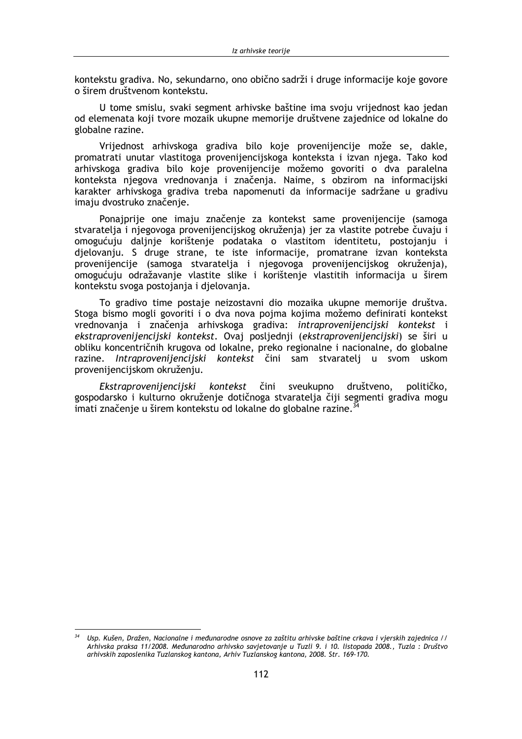kontekstu gradiva. No, sekundarno, ono obično sadrži i druge informacije koje govore o širem društvenom kontekstu.

U tome smislu, svaki segment arhivske baštine ima svoju vrijednost kao jedan od elemenata koji tvore mozaik ukupne memorije društvene zajednice od lokalne do globalne razine.

Vrijednost arhivskoga gradiva bilo koje provenijencije može se, dakle, promatrati unutar vlastitoga provenijencijskoga konteksta i izvan njega. Tako kod arhivskoga gradiva bilo koje provenijencije možemo govoriti o dva paralelna konteksta njegova vrednovanja i značenja. Naime, s obzirom na informacijski karakter arhivskoga gradiva treba napomenuti da informacije sadržane u gradivu imaju dvostruko značenje.

Ponajprije one imaju značenje za kontekst same provenijencije (samoga stvaratelja i njegovoga provenijencijskog okruženja) jer za vlastite potrebe čuvaju i omogućuju daljnje korištenje podataka o vlastitom identitetu, postojanju i djelovanju. S druge strane, te iste informacije, promatrane izvan konteksta provenijencije (samoga stvaratelja i njegovoga provenijencijskog okruženja), omogućuju odražavanje vlastite slike i korištenje vlastitih informacija u širem kontekstu svoga postojanja i djelovanja.

To gradivo time postaje neizostavni dio mozaika ukupne memorije društva. Stoga bismo mogli govoriti i o dva nova pojma kojima možemo definirati kontekst vrednovanja i značenja arhivskoga gradiva: intraprovenijencijski kontekst i ekstraprovenijencijski kontekst. Ovaj posljednji (ekstraprovenijencijski) se širi u obliku koncentričnih krugova od lokalne, preko regionalne i nacionalne, do globalne razine. Intraprovenijencijski kontekst čini sam stvaratelj u svom uskom provenijencijskom okruženju.

Ekstraprovenijencijski kontekst čini sveukupno društveno. političko. gospodarsko i kulturno okruženje dotičnoga stvaratelja čiji segmenti gradiva mogu imati značenie u širem kontekstu od lokalne do globalne razine.<sup>34</sup>

Usp. Kušen, Dražen, Nacionalne i međunarodne osnove za zaštitu arhivske baštine crkava i vjerskih zajednica // Arhivska praksa 11/2008. Međunarodno arhivsko savjetovanje u Tuzli 9. i 10. listopada 2008., Tuzla : Društvo arhivskih zaposlenika Tuzlanskog kantona, Arhiv Tuzlanskog kantona, 2008. Str. 169-170.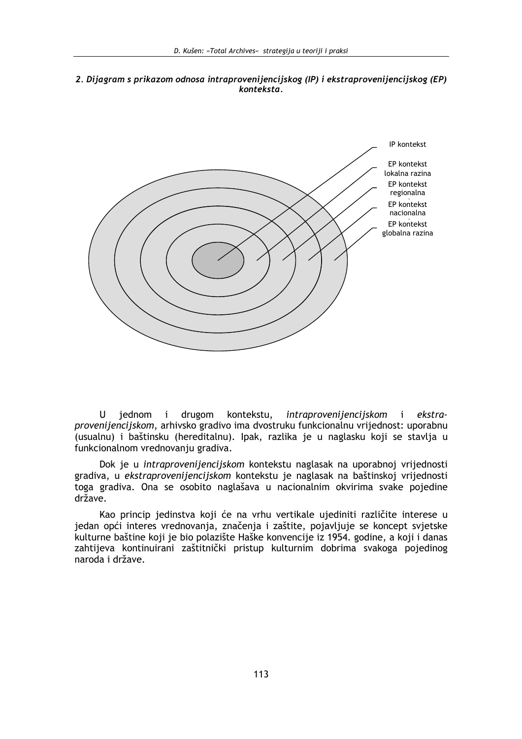2. Dijagram s prikazom odnosa intraprovenijencijskog (IP) i ekstraprovenijencijskog (EP) konteksta.



U jednom i drugom kontekstu, intraprovenijencijskom  $\mathbf{i}$ ekstraprovenijencijskom, arhivsko gradivo ima dvostruku funkcionalnu vrijednost: uporabnu (usualnu) i baštinsku (hereditalnu). Ipak, razlika je u naglasku koji se stavlja u funkcionalnom vrednovanju gradiva.

Dok je u intraprovenijencijskom kontekstu naglasak na uporabnoj vrijednosti gradiva, u ekstraprovenijencijskom kontekstu je naglasak na baštinskoj vrijednosti toga gradiva. Ona se osobito naglašava u nacionalnim okvirima svake pojedine  $dr\bar{z}$ ave.

Kao princip jedinstva koji će na vrhu vertikale ujediniti različite interese u jedan opći interes vrednovanja, značenja i zaštite, pojavljuje se koncept svjetske kulturne baštine koji je bio polazište Haške konvencije iz 1954. godine, a koji i danas zahtijeva kontinuirani zaštitnički pristup kulturnim dobrima svakoga pojedinog naroda i države.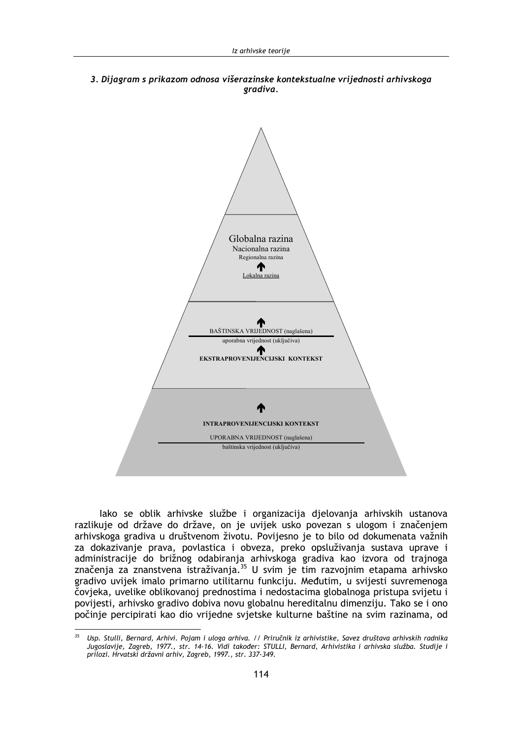3. Dijagram s prikazom odnosa višerazinske kontekstualne vrijednosti arhivskoga gradiva.



lako se oblik arhivske službe i organizacija djelovanja arhivskih ustanova razlikuje od države do države, on je uvijek usko povezan s ulogom i značenjem arhivskoga gradiva u društvenom životu. Povijesno je to bilo od dokumenata važnih za dokazivanje prava, povlastica i obveza, preko opsluživanja sustava uprave i administracije do brižnog odabiranja arhivskoga gradiva kao izvora od trajnoga<br>značenja za znanstvena istraživanja.<sup>35</sup> U svim je tim razvojnim etapama arhivsko gradivo uvijek imalo primarno utilitarnu funkciju. Međutim, u svijesti suvremenoga čovjeka, uvelike oblikovanoj prednostima i nedostacima globalnoga pristupa svijetu i povijesti, arhivsko gradivo dobiva novu globalnu hereditalnu dimenziju. Tako se i ono počinje percipirati kao dio vrijedne svjetske kulturne baštine na svim razinama, od

<sup>35</sup> Usp. Stulli, Bernard, Arhivi. Pojam i uloga arhiva. // Priručnik iz arhivistike, Savez društava arhivskih radnika Jugoslavije, Zagreb, 1977., str. 14-16. Vidi također: STULLI, Bernard, Arhivistika i arhivska služba. Studije i prilozi. Hrvatski državni arhiv, Zagreb, 1997., str. 337-349.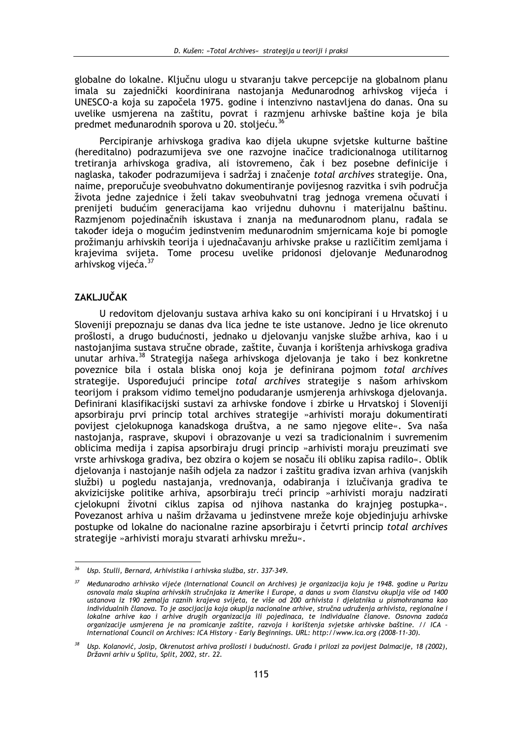globalne do lokalne. Ključnu ulogu u stvaranju takve percepcije na globalnom planu imala su zajednički koordinirana nastojanja Međunarodnog arhivskog vijeća i UNESCO-a koja su započela 1975. godine i intenzivno nastavljena do danas. Ona su uvelike usmierena na zaštitu, povrat i razmienu arhivske baštine koja je bila predmet međunarodnih sporova u 20. stoljeću.<sup>36</sup>

Percipiranje arhivskoga gradiva kao dijela ukupne svjetske kulturne baštine (hereditalno) podrazumijeva sve one razvojne inačice tradicionalnoga utilitarnog tretiranja arhivskoga gradiva, ali istovremeno, čak i bez posebne definicije i naglaska, također podrazumijeva i sadržaj i značenje *total archives* strategije. Ona, naime, preporučuje sveobuhvatno dokumentiranje povijesnog razvitka i svih područja života jedne zajednice i želi takav sveobuhvatni trag jednoga vremena očuvati i prenijeti budućim generacijama kao vrijednu duhovnu i materijalnu baštinu. Razmienom pojedinačnih iskustava i znanja na međunarodnom planu, rađala se također ideja o mogućim jedinstvenim međunarodnim smjernicama koje bi pomogle prožimanju arhivskih teorija i ujednačavanju arhivske prakse u različitim zemljama i krajevima svijeta. Tome procesu uvelike pridonosi djelovanje Međunarodnog arhivskog vijeća.<sup>37</sup>

# **ZAKLJUČAK**

U redovitom djelovanju sustava arhiva kako su oni koncipirani i u Hrvatskoj i u Sloveniji prepoznaju se danas dva lica jedne te iste ustanove. Jedno je lice okrenuto prošlosti, a drugo budućnosti, jednako u djelovanju vanjske službe arhiva, kao i u nastojanjima sustava stručne obrade, zaštite, čuvanja i korištenja arhivskoga gradiva unutar arhiva.<sup>38</sup> Strategija našega arhivskoga djelovanja je tako i bez konkretne poveznice bila i ostala bliska onoj koja je definirana pojmom total archives strategije. Uspoređujući principe total archives strategije s našom arhivskom teorijom i praksom vidimo temeljno podudaranje usmjerenja arhivskoga djelovanja. Definirani klasifikacijski sustavi za arhivske fondove i zbirke u Hrvatskoj i Sloveniji apsorbiraju prvi princip total archives strategije »arhivisti moraju dokumentirati povijest cjelokupnoga kanadskoga društva, a ne samo njegove elite«. Sva naša nastojanja, rasprave, skupovi i obrazovanje u vezi sa tradicionalnim i suvremenim oblicima medija i zapisa apsorbiraju drugi princip »arhivisti moraju preuzimati sve vrste arhivskoga gradiva, bez obzira o kojem se nosaču ili obliku zapisa radilo«. Oblik djelovanja i nastojanje naših odjela za nadzor i zaštitu gradiva izvan arhiva (vanjskih službi) u pogledu nastajanja, vrednovanja, odabiranja i izlučivanja gradiva te akvizicijske politike arhiva, apsorbiraju treći princip »arhivisti moraju nadzirati cielokupni životni ciklus zapisa od njihova nastanka do krajnjeg postupka«. Povezanost arhiva u našim državama u jedinstvene mreže koje objedinjuju arhivske postupke od lokalne do nacionalne razine apsorbiraju i četvrti princip total archives strategije »arhivisti moraju stvarati arhivsku mrežu«.

<sup>&</sup>lt;sup>36</sup> Usp. Stulli, Bernard, Arhivistika i arhivska služba, str. 337-349.

<sup>&</sup>lt;sup>37</sup> Međunarodno arhivsko vijeće (International Council on Archives) je organizacija koju je 1948. godine u Parizu osnovala mala skupina arhivskih stručnjaka iz Amerike i Europe, a danas u svom članstvu okuplja više od 1400 ustanova iz 190 zemalja raznih krajeva svijeta, te više od 200 arhivista i djelatnika u pismohranama kao individualnih članova. To je asocijacija koja okuplja nacionalne arhive, stručna udruženja arhivista, regionalne i lokalne arhive kao i arhive drugih organizacija ili pojedinaca, te individualne članove. Osnovna zadaća organizacije usmjerena je na promicanje zaštite, razvoja i korištenja svjetske arhivske baštine. // ICA · International Council on Archives: ICA History - Early Beginnings. URL: http://www.ica.org (2008-11-30).

Usp. Kolanović, Josip, Okrenutost arhiva prošlosti i budućnosti. Građa i prilozi za povijest Dalmacije, 18 (2002), Državni arhiv u Splitu, Split, 2002, str. 22.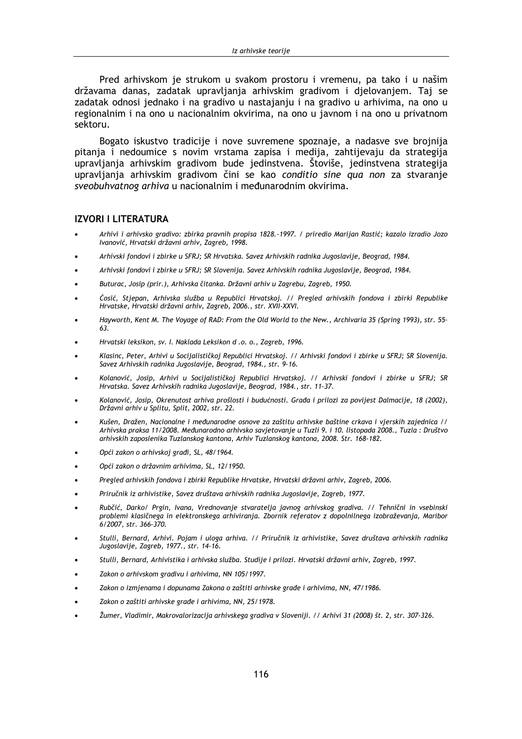Pred arhivskom je strukom u svakom prostoru i vremenu, pa tako i u našim državama danas, zadatak upravljanja arhivskim gradivom i djelovanjem. Taj se zadatak odnosi jednako i na gradivo u nastajanju i na gradivo u arhivima, na ono u regionalnim i na ono u nacionalnim okvirima, na ono u javnom i na ono u privatnom sektoru.

Bogato iskustvo tradicije i nove suvremene spoznaje, a nadasve sve brojnija pitanja i nedoumice s novim vrstama zapisa i medija, zahtijevaju da strategija upravljanja arhivskim gradivom bude jedinstvena. Štoviše, jedinstvena strategija upravljanja arhivskim gradivom čini se kao conditio sine qua non za stvaranje sveobuhvatnog arhiva u nacionalnim i međunarodnim okvirima.

### **IZVORI I LITERATURA**

- Arhivi i arhivsko gradivo: zbirka pravnih propisa 1828.-1997. / priredio Marijan Rastić; kazalo izradio Jozo Ivanović, Hrvatski državni arhiv, Zagreb, 1998.
- Arhivski fondovi i zbirke u SFRJ; SR Hrvatska. Savez Arhivskih radnika Jugoslavije, Beograd, 1984.
- Arhivski fondovi i zbirke u SFRJ; SR Slovenija. Savez Arhivskih radnika Jugoslavije, Beograd, 1984.
- Buturac, Josip (prir.), Arhivska čitanka. Državni arhiv u Zagrebu, Zagreb, 1950.
- Ćosić, Stjepan, Arhivska služba u Republici Hrvatskoj. // Pregled arhivskih fondova i zbirki Republike Hrvatske, Hrvatski državni arhiv, Zagreb, 2006., str. XVII-XXVI.
- Hayworth, Kent M. The Voyage of RAD: From the Old World to the New., Archivaria 35 (Spring 1993), str. 55-63.
- Hrvatski leksikon, sv. I. Naklada Leksikon d .o. o., Zagreb, 1996.
- Klasinc, Peter, Arhivi u Socijalističkoj Republici Hrvatskoj. // Arhivski fondovi i zbirke u SFRJ; SR Slovenija. Savez Arhivskih radnika Jugoslavije, Beograd, 1984., str. 9-16.
- Kolanović, Josip, Arhivi u Socijalističkoj Republici Hrvatskoj. // Arhivski fondovi i zbirke u SFRJ; SR Hrvatska. Savez Arhivskih radnika Jugoslavije, Beograd, 1984., str. 11-37.
- Kolanović, Josip, Okrenutost arhiva prošlosti i budućnosti. Građa i prilozi za povijest Dalmacije, 18 (2002), Državni arhiv u Splitu, Split, 2002, str. 22.
- Kušen. Dražen. Nacionalne i međunarodne osnove za zaštitu arhivske baštine crkava i vierskih zajednica // Arhivska praksa 11/2008. Međunarodno arhivsko savjetovanje u Tuzli 9. i 10. listopada 2008., Tuzla: Društvo arhivskih zaposlenika Tuzlanskog kantona, Arhiv Tuzlanskog kantona, 2008. Str. 168-182.
- Opći zakon o arhivskoj građi, SL, 48/1964.
- Opći zakon o državnim arhivima, SL, 12/1950.
- Pregled arhivskih fondova i zbirki Republike Hrvatske, Hrvatski državni arhiv, Zagreb, 2006.
- Priručnik iz arhivistike, Savez društava arhivskih radnika Jugoslavije, Zagreb, 1977.
- Rubčić, Darko/ Prgin, Ivana, Vrednovanje stvaratelja javnog arhivskog gradiva. // Tehnični in vsebinski problemi klasičnega in elektronskega arhiviranja. Zbornik referatov z dopolnilnega izobraževanja, Maribor 6/2007, str. 366-370.
- Stulli, Bernard, Arhivi. Pojam i uloga arhiva. // Priručnik iz arhivistike, Savez društava arhivskih radnika Jugoslavije, Zagreb, 1977., str. 14-16.
- Stulli, Bernard, Arhivistika i arhivska služba. Studije i prilozi. Hrvatski državni arhiv, Zagreb, 1997.
- Zakon o arhivskom gradivu i arhivima, NN 105/1997.
- Zakon o izmjenama i dopunama Zakona o zaštiti arhivske građe i arhivima, NN, 47/1986.
- Zakon o zaštiti arhivske građe i arhivima, NN, 25/1978.
- Žumer, Vladimir, Makrovalorizacija arhivskega gradiva v Sloveniji. // Arhivi 31 (2008) št. 2, str. 307-326.